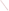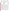| ÷, | ۰ |
|----|---|
|    |   |
|    |   |
|    |   |

#### **UNITED STATES ENVIRONMENTAL PROTECTION AGENCY**  Office of Research and Development Washington, D.C. 20460



## **ENVIRONMENTAL TECHNOLOGY VERIFICATION PROGRAM VERIFICATION STATEMENT**

| TECHNOLOGY TYPE:           | FIELD-PORTABLE GAS CHROMATOGRAPH                                                                    |
|----------------------------|-----------------------------------------------------------------------------------------------------|
| APPLICATION:               | MEASUREMENT OF CHLORINATED VOLATILE ORGANIC<br><b>COMPOUNDS IN WATER</b>                            |
| TECHNOLOGY NAME:           | <b>Model 4100</b>                                                                                   |
| <b>COMPANY</b><br>ADDRESS: | <b>Electronic Sensor Technology</b><br><b>1077 Business Center Circle</b><br>Newbury Park, CA 91320 |
| PHONE:                     | (805) 480-1994                                                                                      |

## **PROGRAM DESCRIPTION**

The U.S. Environmental Protection Agency (EPA) created the Environmental Technology Verification Program (ETV) to facilitate the deployment of innovative environmental technologies through verification of performance and dissemination of information. The goal of the ETV program is to further environmental protection by substantially accelerating the acceptance and use of improved and cost-effective technologies. The ETV program is intended to assist and inform those involved in the design, distribution, permitting, and purchase of environmental technologies.

Under this program, in partnership with recognized testing organizations, and with the full participation of the technology developer, the EPA evaluates the performance of innovative technologies by developing demonstration plans, conducting field tests, collecting and analyzing the demonstration results, and preparing reports. The testing is conducted in accordance with rigorous quality assurance protocols to ensure that data of known and adequate quality are generated and that the results are defensible. The EPA's National Exposure Research Laboratory, in cooperation with Sandia National Laboratories, the testing organization, evaluated field-portable systems for monitoring chlorinated volatile organic compounds (VOCs) in water. This verification statement provides a summary of the demonstration and results for the Electronic Sensor Technology (EST) Model 4100 field-portable gas chromatograph (GC).

### **DEMONSTRATION DESCRIPTION**

The field demonstration of the Model 4100 portable GC was held in September 1997. The demonstration was designed to assess the instrument's ability to detect and measure chlorinated volatile organic compounds in groundwater at two contaminated sites: the Department of Energy's Savannah River Site, near Aiken, South Carolina, and the McClellan Air Force Base, near Sacramento, California. Groundwater samples from each site were supplemented with performance evaluation (PE) samples of known composition. Both sample types were used to assess instrument accuracy, precision, sample throughput, and comparability to reference laboratory results. The primary target compounds at the Savannah River Site were trichloroethene and tetrachloroethene. At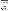McClellan Air Force Base, the target compounds were trichloroethene, tetrachloroethene, 1,2-dichloroethane, 1,1,2-trichloroethane, 1,2-dichloropropane, and *trans*-1,3-dichloropropene. These sites were chosen because they contain varied concentrations of chlorinated VOCs and exhibit different climatic and geologic conditions. The conditions at these sites are typical, but not inclusive, of those under which this technology would be expected to operate. A complete description of the demonstration, including a data summary and discussion of results, may be found in the report entitled *Environmental Technology Verification Report, Field-Portable Gas Chromatograph, Electronic Sensor Technology, Model 4100*. (EPA/600/R-98/141).

# **TECHNOLOGY DESCRIPTION**

Gas chromatography is a proven analytical technology that has been used in environmental laboratories for many years. The Model 4100 GC incorporates a purge-and-trap sample introduction method for the analysis of VOCs in water. The instrument is a single-column GC with programmable temperature control and a surface acoustic wave detector. The system uses short, capillary GC columns and a fast-response detector to produce a complete chromatogram in 30 seconds or less. A room-temperature water sample is sparged with a small volume of air and the entrained VOCs are transferred to a small adsorbent trap, which is subsequently thermally desorbed and injected onto the GC column of the Model 4100. The chromatographic column separates the sample mixture into individual components. Compounds exiting the column momentarily stick to the detector surface, causing a frequency change in an oscillating crystal.

Compounds are identified by column retention time and are quantified by comparing detector response to that of standards run under similar conditions. A gas chromatograph offers some limited potential for identification of unknown components in a mixture; however, a confirmational analysis by an alternative method is often advisable. A field-portable GC is a versatile technique that can be used to provide rapid screening data or routine monitoring of groundwater samples. In many GC systems, the instrument configuration can also be quickly changed to accommodate different sample matrices such as soil, soil gas, water, or air. As with all field analytical studies, it may be necessary to send a portion of the samples to an independent laboratory for confirmatory analyses.

The Model 4100 weighs 35 pounds and is about the size of a large briefcase. The unit can be easily transported and operated in the rear compartment of a minivan. Instrument detection levels for many chlorinated VOCs in water range from 10 to 100  $\mu$ g/L. Sample processing and analysis can be accomplished by a chemical technician; however, instrument method development, instrument calibration, and data processing may require a higher level of operator experience and training. At the time of the demonstration, the baseline cost of the Model 4100 with laptop computer was \$25,000.

## **VERIFICATION OF PERFORMANCE**

The following performance characteristics of the Model 4100 were observed:

**Sample Throughput:** Throughput was approximately two to three water samples per hour. This rate includes the periodic analysis of blanks and calibration check samples.

*Completeness:* The Model 4100 reported results for all of the 165 PE and groundwater samples provided for analysis at the two demonstration sites.

*Analytical Versatility:* The Model 4100 was calibrated for and detected 25 of the 32 (78%) PE sample VOCs provided for analysis at the demonstration. Six pairs of coeluting compounds were reported. For the groundwater contaminant compounds for which it was calibrated, the Model 4100 detected 42 of the 66 compounds detected by the reference laboratory at concentration levels in excess of  $1 \mu g/L$ . A total of 68 compounds were detected by the reference laboratory in all groundwater samples.

*Precision:* Precision was determined by analyzing sets of four replicate samples from a variety of PE mixtures containing known concentrations of chlorinated organic compounds. The results are reported in terms of a